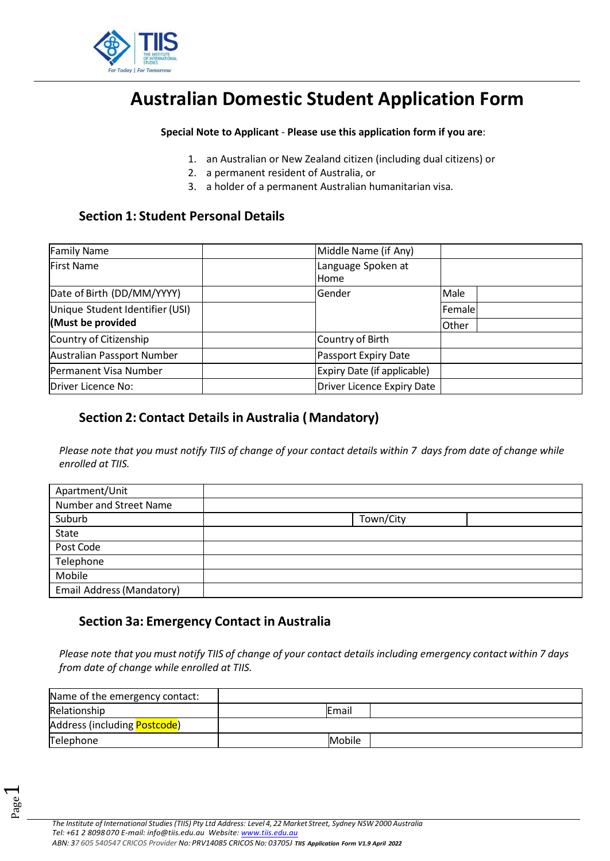

# **Australian Domestic Student Application Form**

**Special Note to Applicant** - **Please use this application form if you are**:

- 1. an Australian or New Zealand citizen (including dual citizens) or
- 2. a permanent resident of Australia, or
- 3. a holder of a permanent Australian humanitarian visa.

### **Section 1: Student Personal Details**

| <b>Family Name</b>              | Middle Name (if Any)        |                                   |  |
|---------------------------------|-----------------------------|-----------------------------------|--|
| <b>First Name</b>               | Language Spoken at          |                                   |  |
|                                 | Home                        |                                   |  |
| Date of Birth (DD/MM/YYYY)      | Gender                      | Male                              |  |
| Unique Student Identifier (USI) |                             | Female                            |  |
| (Must be provided               |                             | Other                             |  |
| Country of Citizenship          | Country of Birth            |                                   |  |
| Australian Passport Number      | Passport Expiry Date        |                                   |  |
| Permanent Visa Number           | Expiry Date (if applicable) |                                   |  |
| Driver Licence No:              |                             | <b>Driver Licence Expiry Date</b> |  |

# **Section 2: Contact Details in Australia ( Mandatory)**

*Please note that you must notify TIIS of change of your contact details within 7 days from date of change while enrolled at TIIS.*

| Apartment/Unit            |           |
|---------------------------|-----------|
| Number and Street Name    |           |
| Suburb                    | Town/City |
| State                     |           |
| Post Code                 |           |
| Telephone                 |           |
| Mobile                    |           |
| Email Address (Mandatory) |           |

# **Section 3a: Emergency Contact in Australia**

*Please note that you must notify TIIS of change of your contact details including emergency contact within 7 days from date of change while enrolled at TIIS.*

| Name of the emergency contact: |        |  |
|--------------------------------|--------|--|
| Relationship                   | Email  |  |
| Address (including Postcode)   |        |  |
| Telephone                      | Mobile |  |

 $\overline{\phantom{0}}$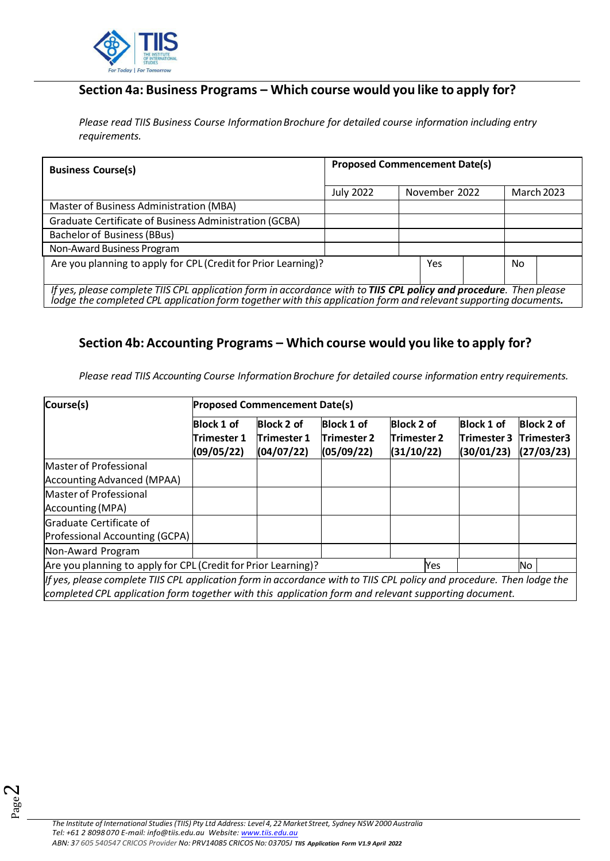

# **Section 4a: Business Programs – Which course would you like to apply for?**

*Please read TIIS Business Course InformationBrochure for detailed course information including entry requirements.* 

| <b>Business Course(s)</b>                                                                                                                                                                                                             | <b>Proposed Commencement Date(s)</b> |  |               |  |     |                   |
|---------------------------------------------------------------------------------------------------------------------------------------------------------------------------------------------------------------------------------------|--------------------------------------|--|---------------|--|-----|-------------------|
|                                                                                                                                                                                                                                       | <b>July 2022</b>                     |  | November 2022 |  |     | <b>March 2023</b> |
| Master of Business Administration (MBA)                                                                                                                                                                                               |                                      |  |               |  |     |                   |
| Graduate Certificate of Business Administration (GCBA)                                                                                                                                                                                |                                      |  |               |  |     |                   |
| <b>Bachelor of Business (BBus)</b>                                                                                                                                                                                                    |                                      |  |               |  |     |                   |
| Non-Award Business Program                                                                                                                                                                                                            |                                      |  |               |  |     |                   |
| Are you planning to apply for CPL (Credit for Prior Learning)?                                                                                                                                                                        |                                      |  | Yes           |  | No. |                   |
|                                                                                                                                                                                                                                       |                                      |  |               |  |     |                   |
| If yes, please complete TIIS CPL application form in accordance with to TIIS CPL policy and procedure. Then please<br>lodge the completed CPL application form together with this application form and relevant supporting documents. |                                      |  |               |  |     |                   |

### **Section 4b: Accounting Programs – Which course would you like to apply for?**

*Please read TIIS Accounting Course InformationBrochure for detailed course information entry requirements.*

| Course(s)                                                                                                                                                                                                                     | <b>Proposed Commencement Date(s)</b>                  |                                         |                                                |                                                |                                         |                                               |
|-------------------------------------------------------------------------------------------------------------------------------------------------------------------------------------------------------------------------------|-------------------------------------------------------|-----------------------------------------|------------------------------------------------|------------------------------------------------|-----------------------------------------|-----------------------------------------------|
|                                                                                                                                                                                                                               | <b>Block 1 of</b><br><b>Trimester 1</b><br>(09/05/22) | Block 2 of<br>Trimester 1<br>(04/07/22) | <b>Block 1 of</b><br>Trimester 2<br>(05/09/22) | <b>Block 2 of</b><br>Trimester 2<br>(31/10/22) | Block 1 of<br>Trimester 3<br>(30/01/23) | <b>Block 2 of</b><br>Trimester3<br>(27/03/23) |
| Master of Professional                                                                                                                                                                                                        |                                                       |                                         |                                                |                                                |                                         |                                               |
| Accounting Advanced (MPAA)                                                                                                                                                                                                    |                                                       |                                         |                                                |                                                |                                         |                                               |
| Master of Professional<br>Accounting (MPA)                                                                                                                                                                                    |                                                       |                                         |                                                |                                                |                                         |                                               |
| Graduate Certificate of<br>Professional Accounting (GCPA)                                                                                                                                                                     |                                                       |                                         |                                                |                                                |                                         |                                               |
| Non-Award Program                                                                                                                                                                                                             |                                                       |                                         |                                                |                                                |                                         |                                               |
| Are you planning to apply for CPL (Credit for Prior Learning)?                                                                                                                                                                |                                                       |                                         |                                                | Yes                                            |                                         | No.                                           |
| If yes, please complete TIIS CPL application form in accordance with to TIIS CPL policy and procedure. Then lodge the<br>completed CPL application form together with this application form and relevant supporting document. |                                                       |                                         |                                                |                                                |                                         |                                               |

Page  $\boldsymbol{\sim}$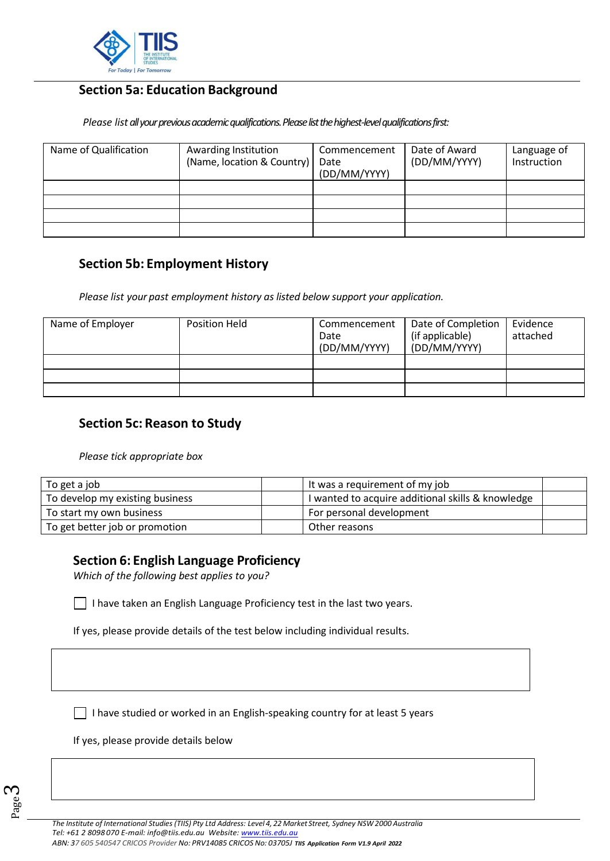

# **Section 5a: Education Background**

*Please list all your previous academic qualifications. Please list the highest-level qualifications first:* 

| Name of Qualification | Awarding Institution<br>(Name, location & Country) | Commencement<br>Date<br>(DD/MM/YYYY) | Date of Award<br>(DD/MM/YYYY) | Language of<br>Instruction |
|-----------------------|----------------------------------------------------|--------------------------------------|-------------------------------|----------------------------|
|                       |                                                    |                                      |                               |                            |
|                       |                                                    |                                      |                               |                            |
|                       |                                                    |                                      |                               |                            |
|                       |                                                    |                                      |                               |                            |

### **Section 5b: Employment History**

*Please list your past employment history as listed below support your application.*

| Name of Employer | Position Held | Commencement<br>Date<br>(DD/MM/YYYY) | Date of Completion<br>(if applicable)<br>(DD/MM/YYYY) | Evidence<br>attached |
|------------------|---------------|--------------------------------------|-------------------------------------------------------|----------------------|
|                  |               |                                      |                                                       |                      |
|                  |               |                                      |                                                       |                      |
|                  |               |                                      |                                                       |                      |

### **Section 5c: Reason to Study**

*Please tick appropriate box*

| To get a job                    | It was a requirement of my job                    |  |
|---------------------------------|---------------------------------------------------|--|
| To develop my existing business | I wanted to acquire additional skills & knowledge |  |
| To start my own business        | For personal development                          |  |
| To get better job or promotion  | Other reasons                                     |  |

### **Section 6: English Language Proficiency**

*Which of the following best applies to you?*

I have taken an English Language Proficiency test in the last two years.

If yes, please provide details of the test below including individual results.

 $\Box$  I have studied or worked in an English-speaking country for at least 5 years

If yes, please provide details below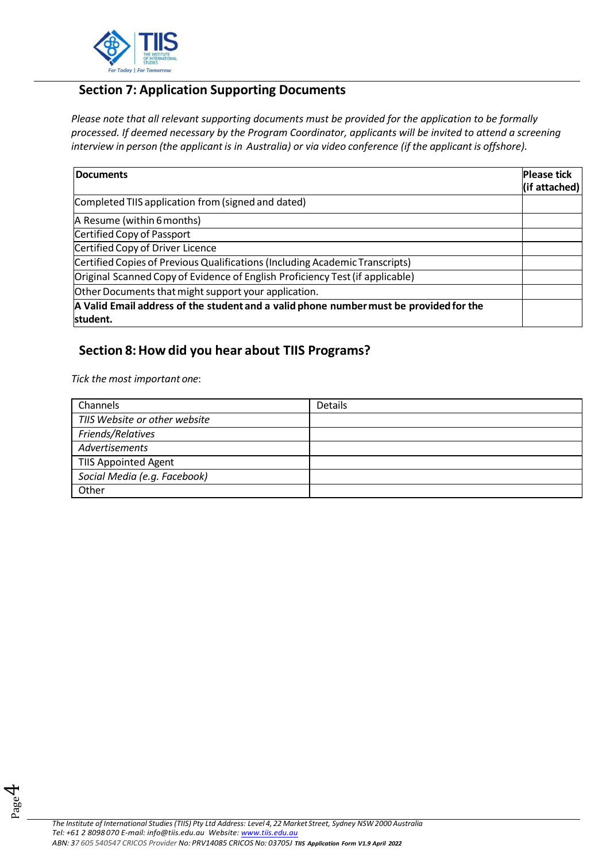

# **Section 7: Application Supporting Documents**

*Please note that all relevant supporting documents must be provided for the application to be formally processed. If deemed necessary by the Program Coordinator, applicants will be invited to attend a screening interview in person (the applicant is in Australia) or via video conference (if the applicant is offshore).*

| <b>Documents</b>                                                                       | <b>Please tick</b> |
|----------------------------------------------------------------------------------------|--------------------|
|                                                                                        | (if attached)      |
| Completed TIIS application from (signed and dated)                                     |                    |
| A Resume (within 6 months)                                                             |                    |
| Certified Copy of Passport                                                             |                    |
| Certified Copy of Driver Licence                                                       |                    |
| Certified Copies of Previous Qualifications (Including Academic Transcripts)           |                    |
| Original Scanned Copy of Evidence of English Proficiency Test (if applicable)          |                    |
| Other Documents that might support your application.                                   |                    |
| A Valid Email address of the student and a valid phone number must be provided for the |                    |
| student.                                                                               |                    |

### **Section 8:How did you hear about TIIS Programs?**

*Tick the most important one*:

Page 4

| Channels                      | Details |
|-------------------------------|---------|
| TIIS Website or other website |         |
| Friends/Relatives             |         |
| Advertisements                |         |
| <b>TIIS Appointed Agent</b>   |         |
| Social Media (e.g. Facebook)  |         |
| Other                         |         |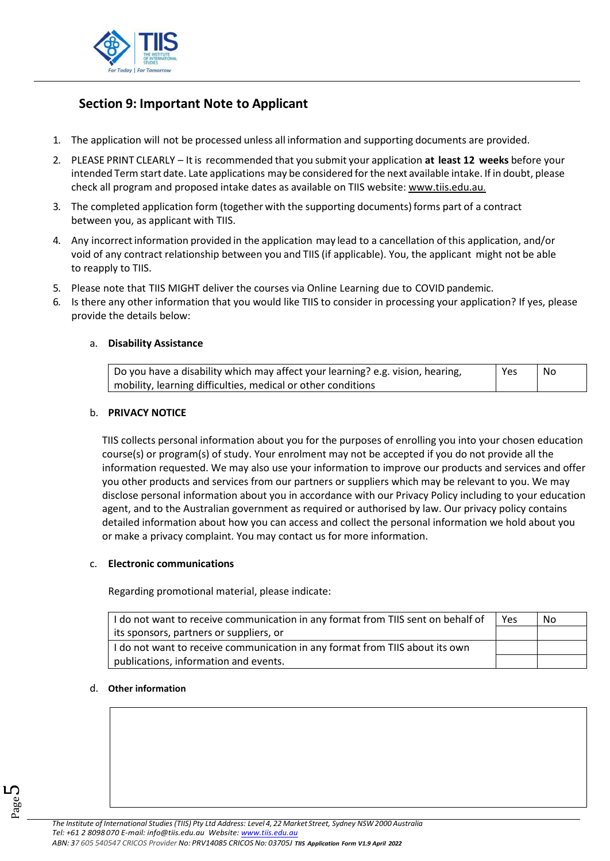

# **Section 9: Important Note to Applicant**

- 1. The application will not be processed unless all information and supporting documents are provided.
- 2. PLEASE PRINT CLEARLY It is recommended that you submit your application **at least 12 weeks** before your intended Term start date. Late applications may be considered forthe next available intake. If in doubt, please check all program and proposed intake dates as available on TIIS website: [www.tiis.edu.au.](http://www.tiis.edu.au/)
- 3. The completed application form (together with the supporting documents) forms part of a contract between you, as applicant with TIIS.
- 4. Any incorrectinformation provided in the application may lead to a cancellation of this application, and/or void of any contract relationship between you and TIIS (if applicable). You, the applicant might not be able to reapply to TIIS.
- 5. Please note that TIIS MIGHT deliver the courses via Online Learning due to COVID pandemic.
- 6. Is there any other information that you would like TIIS to consider in processing your application? If yes, please provide the details below:

#### a. **Disability Assistance**

| b Do you have a disability which may affect your learning? e.g. vision, hearing, | Yes | No |  |
|----------------------------------------------------------------------------------|-----|----|--|
| mobility, learning difficulties, medical or other conditions                     |     |    |  |

#### b. **PRIVACY NOTICE**

TIIS collects personal information about you for the purposes of enrolling you into your chosen education course(s) or program(s) of study. Your enrolment may not be accepted if you do not provide all the information requested. We may also use your information to improve our products and services and offer you other products and services from our partners or suppliers which may be relevant to you. We may disclose personal information about you in accordance with our Privacy Policy including to your education agent, and to the Australian government as required or authorised by law. Our privacy policy contains detailed information about how you can access and collect the personal information we hold about you or make a privacy complaint. You may contact us for more information.

#### c. **Electronic communications**

Regarding promotional material, please indicate:

| I do not want to receive communication in any format from TIIS sent on behalf of | Yes | No |
|----------------------------------------------------------------------------------|-----|----|
| its sponsors, partners or suppliers, or                                          |     |    |
| I do not want to receive communication in any format from TIIS about its own     |     |    |
| publications, information and events.                                            |     |    |

#### d. **Other information**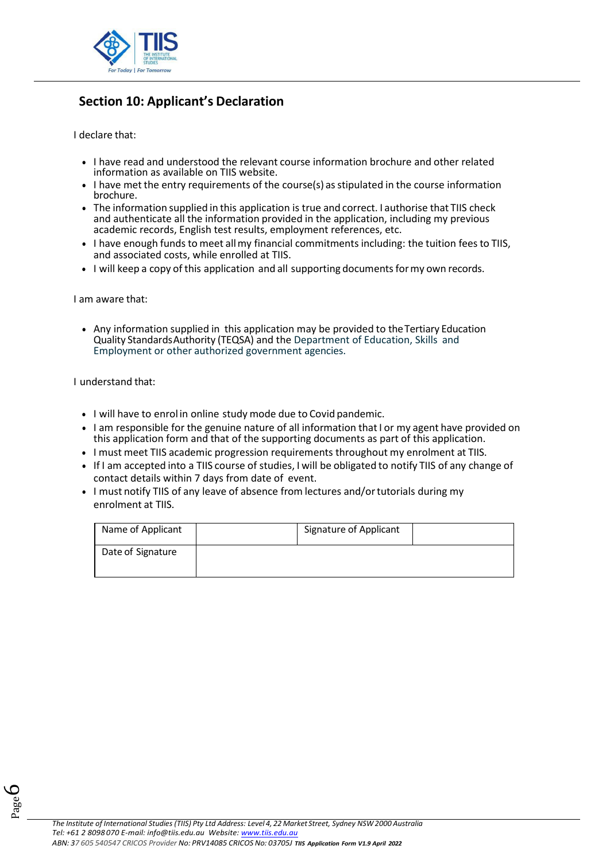

# **Section 10: Applicant's Declaration**

I declare that:

- I have read and understood the relevant course information brochure and other related information as available on TIIS website.
- I have met the entry requirements of the course(s) as stipulated in the course information brochure.
- The information supplied in this application is true and correct. I authorise that TIIS check and authenticate all the information provided in the application, including my previous academic records, English test results, employment references, etc.
- I have enough funds to meet all my financial commitments including: the tuition fees to TIIS, and associated costs, while enrolled at TIIS.
- I will keep a copy of this application and all supporting documents for my own records.

I am aware that:

• Any information supplied in this application may be provided to the Tertiary Education Quality StandardsAuthority (TEQSA) and the Department of Education, Skills and Employment or other authorized government agencies.

I understand that:

- I will have to enrol in online study mode due to Covid pandemic.
- I am responsible for the genuine nature of all information that I or my agent have provided on this application form and that of the supporting documents as part of this application.
- I must meet TIIS academic progression requirements throughout my enrolment at TIIS.
- If I am accepted into a TIIS course of studies, I will be obligated to notify TIIS of any change of contact details within 7 days from date of event.
- I must notify TIIS of any leave of absence from lectures and/or tutorials during my enrolment at TIIS.

| Name of Applicant | Signature of Applicant |
|-------------------|------------------------|
| Date of Signature |                        |

Page 6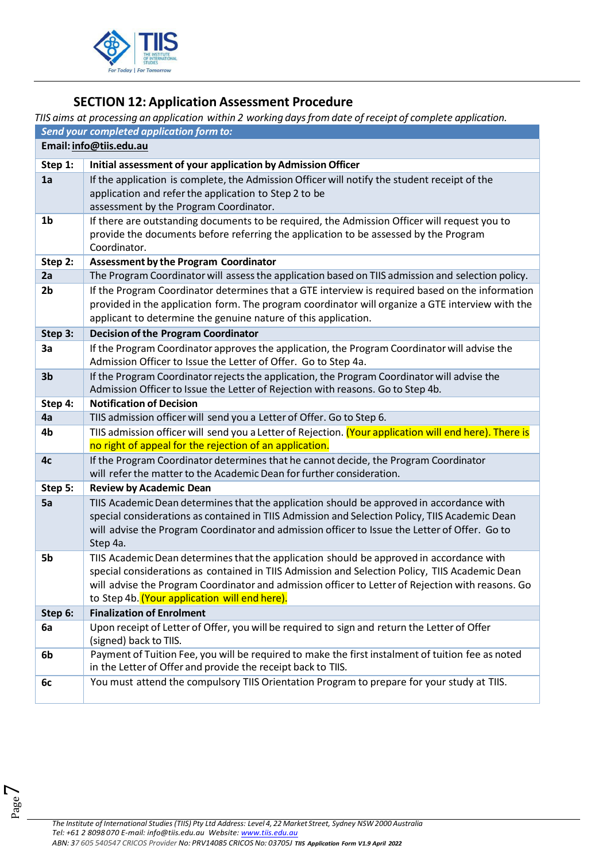

# **SECTION 12: Application Assessment Procedure**

*TIIS aims at processing an application within 2 working daysfrom date of receipt of complete application.*

| Send your completed application form to: |                                                                                                                                                                                                     |  |  |  |
|------------------------------------------|-----------------------------------------------------------------------------------------------------------------------------------------------------------------------------------------------------|--|--|--|
| Email: info@tiis.edu.au                  |                                                                                                                                                                                                     |  |  |  |
| Step 1:                                  | Initial assessment of your application by Admission Officer                                                                                                                                         |  |  |  |
| 1a                                       | If the application is complete, the Admission Officer will notify the student receipt of the                                                                                                        |  |  |  |
|                                          | application and refer the application to Step 2 to be                                                                                                                                               |  |  |  |
|                                          | assessment by the Program Coordinator.                                                                                                                                                              |  |  |  |
| 1 <sub>b</sub>                           | If there are outstanding documents to be required, the Admission Officer will request you to                                                                                                        |  |  |  |
|                                          | provide the documents before referring the application to be assessed by the Program                                                                                                                |  |  |  |
|                                          | Coordinator.                                                                                                                                                                                        |  |  |  |
| Step 2:                                  | <b>Assessment by the Program Coordinator</b>                                                                                                                                                        |  |  |  |
| 2a                                       | The Program Coordinator will assess the application based on TIIS admission and selection policy.                                                                                                   |  |  |  |
| 2 <sub>b</sub>                           | If the Program Coordinator determines that a GTE interview is required based on the information                                                                                                     |  |  |  |
|                                          | provided in the application form. The program coordinator will organize a GTE interview with the                                                                                                    |  |  |  |
|                                          | applicant to determine the genuine nature of this application.                                                                                                                                      |  |  |  |
| Step 3:                                  | <b>Decision of the Program Coordinator</b>                                                                                                                                                          |  |  |  |
| 3a                                       | If the Program Coordinator approves the application, the Program Coordinator will advise the                                                                                                        |  |  |  |
|                                          | Admission Officer to Issue the Letter of Offer. Go to Step 4a.                                                                                                                                      |  |  |  |
| 3 <sub>b</sub>                           | If the Program Coordinator rejects the application, the Program Coordinator will advise the                                                                                                         |  |  |  |
|                                          | Admission Officer to Issue the Letter of Rejection with reasons. Go to Step 4b.                                                                                                                     |  |  |  |
| Step 4:                                  | <b>Notification of Decision</b>                                                                                                                                                                     |  |  |  |
| 4a                                       | TIIS admission officer will send you a Letter of Offer. Go to Step 6.                                                                                                                               |  |  |  |
| 4b                                       | TIIS admission officer will send you a Letter of Rejection. (Your application will end here). There is                                                                                              |  |  |  |
|                                          | no right of appeal for the rejection of an application.                                                                                                                                             |  |  |  |
| 4c                                       | If the Program Coordinator determines that he cannot decide, the Program Coordinator                                                                                                                |  |  |  |
|                                          | will refer the matter to the Academic Dean for further consideration.                                                                                                                               |  |  |  |
| Step 5:                                  | <b>Review by Academic Dean</b>                                                                                                                                                                      |  |  |  |
| 5a                                       | TIIS Academic Dean determines that the application should be approved in accordance with                                                                                                            |  |  |  |
|                                          | special considerations as contained in TIIS Admission and Selection Policy, TIIS Academic Dean                                                                                                      |  |  |  |
|                                          | will advise the Program Coordinator and admission officer to Issue the Letter of Offer. Go to                                                                                                       |  |  |  |
|                                          | Step 4a.                                                                                                                                                                                            |  |  |  |
| 5b                                       | TIIS Academic Dean determines that the application should be approved in accordance with                                                                                                            |  |  |  |
|                                          | special considerations as contained in TIIS Admission and Selection Policy, TIIS Academic Dean<br>will advise the Program Coordinator and admission officer to Letter of Rejection with reasons. Go |  |  |  |
|                                          | to Step 4b. (Your application will end here).                                                                                                                                                       |  |  |  |
| Step 6:                                  | <b>Finalization of Enrolment</b>                                                                                                                                                                    |  |  |  |
| 6a                                       | Upon receipt of Letter of Offer, you will be required to sign and return the Letter of Offer                                                                                                        |  |  |  |
|                                          | (signed) back to TIIS.                                                                                                                                                                              |  |  |  |
| 6b                                       | Payment of Tuition Fee, you will be required to make the first instalment of tuition fee as noted                                                                                                   |  |  |  |
|                                          | in the Letter of Offer and provide the receipt back to TIIS.                                                                                                                                        |  |  |  |
| 6c                                       | You must attend the compulsory TIIS Orientation Program to prepare for your study at TIIS.                                                                                                          |  |  |  |
|                                          |                                                                                                                                                                                                     |  |  |  |

Page  $\blacktriangledown$